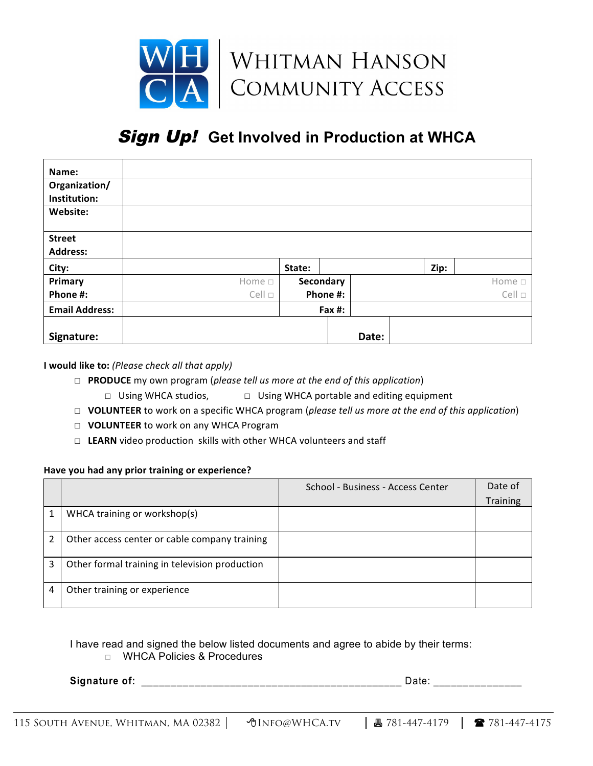

## **Sign Up! Get Involved in Production at WHCA**

| Name:                 |                |        |           |       |      |                |
|-----------------------|----------------|--------|-----------|-------|------|----------------|
| Organization/         |                |        |           |       |      |                |
| Institution:          |                |        |           |       |      |                |
| Website:              |                |        |           |       |      |                |
| <b>Street</b>         |                |        |           |       |      |                |
| <b>Address:</b>       |                |        |           |       |      |                |
| City:                 |                | State: |           |       | Zip: |                |
| Primary               | Home $\square$ |        | Secondary |       |      | Home $\Box$    |
| Phone #:              | $Cell \Box$    |        | Phone #:  |       |      | $Cell \square$ |
| <b>Email Address:</b> |                | Fax #: |           |       |      |                |
| Signature:            |                |        |           | Date: |      |                |

**I** would like to: (Please check all that apply)

- □ **PRODUCE** my own program (*please tell us more at the end of this application*)
	- **□** Using WHCA studios, <br>□ Using WHCA studios, <br>□ Using WHCA portable and editing equipment
- □ **VOLUNTEER** to work on a specific WHCA program (*please tell us more at the end of this application*)
- □ VOLUNTEER to work on any WHCA Program
- □ LEARN video production skills with other WHCA volunteers and staff

## Have you had any prior training or experience?

|   |                                                | School - Business - Access Center | Date of         |
|---|------------------------------------------------|-----------------------------------|-----------------|
|   |                                                |                                   | <b>Training</b> |
|   | WHCA training or workshop(s)                   |                                   |                 |
| 2 | Other access center or cable company training  |                                   |                 |
| 3 | Other formal training in television production |                                   |                 |
| 4 | Other training or experience                   |                                   |                 |

## I have read and signed the below listed documents and agree to abide by their terms:

## □ WHCA Policies & Procedures

**Signature of:** \_\_\_\_\_\_\_\_\_\_\_\_\_\_\_\_\_\_\_\_\_\_\_\_\_\_\_\_\_\_\_\_\_\_\_\_\_\_\_\_\_\_\_\_ Date: \_\_\_\_\_\_\_\_\_\_\_\_\_\_\_